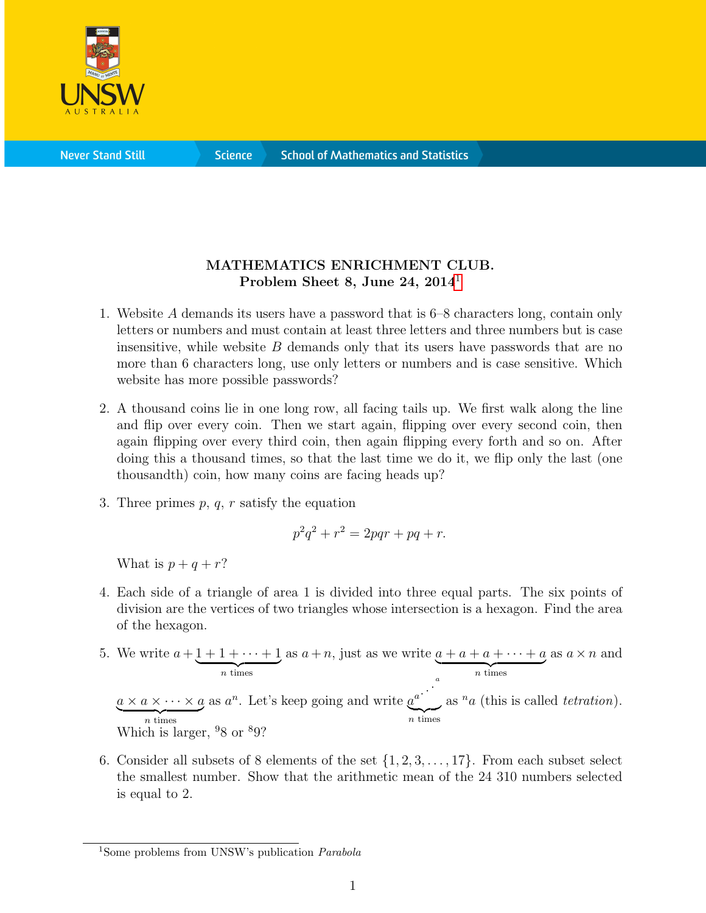

**Science** 

## MATHEMATICS ENRICHMENT CLUB. Problem Sheet 8, June 24,  $2014<sup>1</sup>$  $2014<sup>1</sup>$  $2014<sup>1</sup>$

- 1. Website A demands its users have a password that is 6–8 characters long, contain only letters or numbers and must contain at least three letters and three numbers but is case insensitive, while website  $B$  demands only that its users have passwords that are no more than 6 characters long, use only letters or numbers and is case sensitive. Which website has more possible passwords?
- 2. A thousand coins lie in one long row, all facing tails up. We first walk along the line and flip over every coin. Then we start again, flipping over every second coin, then again flipping over every third coin, then again flipping every forth and so on. After doing this a thousand times, so that the last time we do it, we flip only the last (one thousandth) coin, how many coins are facing heads up?
- 3. Three primes  $p, q, r$  satisfy the equation

$$
p^2q^2 + r^2 = 2pqr + pq + r.
$$

What is  $p + q + r$ ?

- 4. Each side of a triangle of area 1 is divided into three equal parts. The six points of division are the vertices of two triangles whose intersection is a hexagon. Find the area of the hexagon.
- 5. We write  $a + 1 + 1 + \cdots + 1$  $\overbrace{n \text{ times}}$ as  $a + n$ , just as we write  $a + a + a + \cdots + a$  $\overbrace{n \text{ times}}$ as  $a \times n$  and  $a \times a \times \cdots \times a$  $\overbrace{n \text{ times}}$ as  $a^n$ . Let's keep going and write  $a^{a}$ . a  $\overline{n}$  times as  $n_a$  (this is called *tetration*). Which is larger,  $98$  or  $89$ ?
- 6. Consider all subsets of 8 elements of the set  $\{1, 2, 3, \ldots, 17\}$ . From each subset select the smallest number. Show that the arithmetic mean of the 24 310 numbers selected is equal to 2.

<span id="page-0-0"></span><sup>&</sup>lt;sup>1</sup>Some problems from UNSW's publication *Parabola*